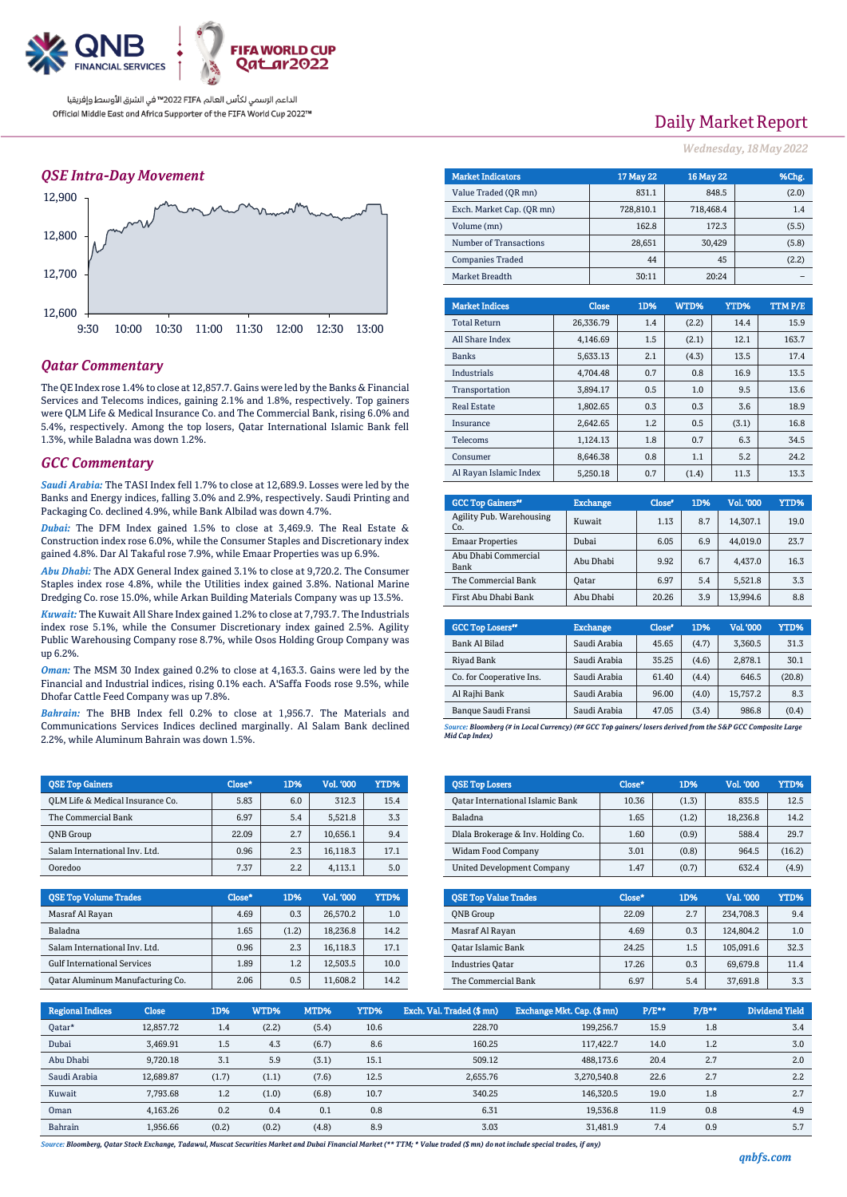

## *QSE Intra-Day Movement*



## *Qatar Commentary*

The QE Index rose 1.4% to close at 12,857.7. Gains were led by the Banks & Financial Services and Telecoms indices, gaining 2.1% and 1.8%, respectively. Top gainers were QLM Life & Medical Insurance Co. and The Commercial Bank, rising 6.0% and 5.4%, respectively. Among the top losers, Qatar International Islamic Bank fell 1.3%, while Baladna was down 1.2%.

### *GCC Commentary*

*Saudi Arabia:* The TASI Index fell 1.7% to close at 12,689.9. Losses were led by the Banks and Energy indices, falling 3.0% and 2.9%, respectively. Saudi Printing and Packaging Co. declined 4.9%, while Bank Albilad was down 4.7%.

*Dubai:* The DFM Index gained 1.5% to close at 3,469.9. The Real Estate & Construction index rose 6.0%, while the Consumer Staples and Discretionary index gained 4.8%. Dar Al Takaful rose 7.9%, while Emaar Properties was up 6.9%.

*Abu Dhabi:* The ADX General Index gained 3.1% to close at 9,720.2. The Consumer Staples index rose 4.8%, while the Utilities index gained 3.8%. National Marine Dredging Co. rose 15.0%, while Arkan Building Materials Company was up 13.5%.

*Kuwait:* The Kuwait All Share Index gained 1.2% to close at 7,793.7. The Industrials index rose 5.1%, while the Consumer Discretionary index gained 2.5%. Agility Public Warehousing Company rose 8.7%, while Osos Holding Group Company was up 6.2%.

*Oman:* The MSM 30 Index gained 0.2% to close at 4,163.3. Gains were led by the Financial and Industrial indices, rising 0.1% each. A'Saffa Foods rose 9.5%, while Dhofar Cattle Feed Company was up 7.8%.

*Bahrain:* The BHB Index fell 0.2% to close at 1,956.7. The Materials and Communications Services Indices declined marginally. Al Salam Bank declined 2.2%, while Aluminum Bahrain was down 1.5%.

| <b>OSE Top Gainers</b>           | Close* | 1D% | <b>Vol. '000</b> | YTD% |
|----------------------------------|--------|-----|------------------|------|
| OLM Life & Medical Insurance Co. | 5.83   | 6.0 | 312.3            | 15.4 |
| The Commercial Bank              | 6.97   | 5.4 | 5.521.8          | 3.3  |
| <b>ONB</b> Group                 | 22.09  | 2.7 | 10.656.1         | 9.4  |
| Salam International Inv. Ltd.    | 0.96   | 2.3 | 16,118.3         | 17.1 |
| Ooredoo                          | 7.37   | 2.2 | 4.113.1          | 5.0  |

| <b>QSE Top Volume Trades</b>       | Close* | 1D%   | Vol. '000 | YTD% |
|------------------------------------|--------|-------|-----------|------|
| Masraf Al Rayan                    | 4.69   | 0.3   | 26.570.2  | 1.0  |
| Baladna                            | 1.65   | (1.2) | 18.236.8  | 14.2 |
| Salam International Inv. Ltd.      | 0.96   | 2.3   | 16,118.3  | 17.1 |
| <b>Gulf International Services</b> | 1.89   | 1.2   | 12.503.5  | 10.0 |
| Qatar Aluminum Manufacturing Co.   | 2.06   | 0.5   | 11,608.2  | 14.2 |

# Daily Market Report

*Wednesday, 18May 2022*

| <b>Market Indicators</b>  | <b>17 May 22</b> | <b>16 May 22</b> | %Chg.                 |
|---------------------------|------------------|------------------|-----------------------|
| Value Traded (OR mn)      | 831.1            | 848.5            | (2.0)                 |
| Exch. Market Cap. (OR mn) | 728.810.1        | 718,468.4        | 1.4                   |
| Volume (mn)               | 162.8            | 172.3            | (5.5)                 |
| Number of Transactions    | 28,651           | 30,429           | (5.8)                 |
| <b>Companies Traded</b>   | 44               | 45               | (2.2)                 |
| Market Breadth            | 30:11            | 20:24            |                       |
|                           |                  |                  |                       |
| <b>Market Indices</b>     | Close<br>1D%     | WTD%             | TTMP/E<br><b>YTD%</b> |

| ,,,,,,,,,,,,,,,,,,,,,  |           |     | .     | .     | *****/ |
|------------------------|-----------|-----|-------|-------|--------|
| <b>Total Return</b>    | 26,336.79 | 1.4 | (2.2) | 14.4  | 15.9   |
| All Share Index        | 4.146.69  | 1.5 | (2.1) | 12.1  | 163.7  |
| <b>Banks</b>           | 5.633.13  | 2.1 | (4.3) | 13.5  | 17.4   |
| Industrials            | 4.704.48  | 0.7 | 0.8   | 16.9  | 13.5   |
| Transportation         | 3.894.17  | 0.5 | 1.0   | 9.5   | 13.6   |
| <b>Real Estate</b>     | 1.802.65  | 0.3 | 0.3   | 3.6   | 18.9   |
| Insurance              | 2.642.65  | 1.2 | 0.5   | (3.1) | 16.8   |
| Telecoms               | 1.124.13  | 1.8 | 0.7   | 6.3   | 34.5   |
| Consumer               | 8.646.38  | 0.8 | 1.1   | 5.2   | 24.2   |
| Al Ravan Islamic Index | 5.250.18  | 0.7 | (1.4) | 11.3  | 13.3   |

| <b>GCC Top Gainers</b> "        | <b>Exchange</b> | Close* | 1D% | Vol. '000 | YTD% |
|---------------------------------|-----------------|--------|-----|-----------|------|
| Agility Pub. Warehousing<br>Co. | Kuwait          | 1.13   | 8.7 | 14.307.1  | 19.0 |
| <b>Emaar Properties</b>         | Dubai           | 6.05   | 6.9 | 44.019.0  | 23.7 |
| Abu Dhabi Commercial<br>Bank    | Abu Dhabi       | 9.92   | 6.7 | 4,437.0   | 16.3 |
| The Commercial Bank             | Oatar           | 6.97   | 5.4 | 5,521.8   | 3.3  |
| First Abu Dhabi Bank            | Abu Dhabi       | 20.26  | 3.9 | 13.994.6  | 8.8  |

| <b>GCC Top Losers</b> "  | <b>Exchange</b> | Close <sup>®</sup> | 1D%   | <b>Vol.'000</b> | YTD%   |
|--------------------------|-----------------|--------------------|-------|-----------------|--------|
| Bank Al Bilad            | Saudi Arabia    | 45.65              | (4.7) | 3.360.5         | 31.3   |
| Riyad Bank               | Saudi Arabia    | 35.25              | (4.6) | 2,878.1         | 30.1   |
| Co. for Cooperative Ins. | Saudi Arabia    | 61.40              | (4.4) | 646.5           | (20.8) |
| Al Rajhi Bank            | Saudi Arabia    | 96.00              | (4.0) | 15,757.2        | 8.3    |
| Banque Saudi Fransi      | Saudi Arabia    | 47.05              | (3.4) | 986.8           | (0.4)  |

*Source: Bloomberg (# in Local Currency) (## GCC Top gainers/ losers derived from the S&P GCC Composite Large Mid Cap Index)*

| <b>QSE Top Losers</b>                   | Close* | 1D%   | Vol. '000 | YTD%   |
|-----------------------------------------|--------|-------|-----------|--------|
| <b>Qatar International Islamic Bank</b> | 10.36  | (1.3) | 835.5     | 12.5   |
| Baladna                                 | 1.65   | (1.2) | 18.236.8  | 14.2   |
| Dlala Brokerage & Inv. Holding Co.      | 1.60   | (0.9) | 588.4     | 29.7   |
| <b>Widam Food Company</b>               | 3.01   | (0.8) | 964.5     | (16.2) |
| <b>United Development Company</b>       | 1.47   | (0.7) | 632.4     | (4.9)  |

| <b>OSE Top Value Trades</b> | Close* | 1D% | Val. '000 | YTD% |
|-----------------------------|--------|-----|-----------|------|
| <b>ONB</b> Group            | 22.09  | 2.7 | 234.708.3 | 9.4  |
| Masraf Al Rayan             | 4.69   | 0.3 | 124.804.2 | 1.0  |
| Qatar Islamic Bank          | 24.25  | 1.5 | 105,091.6 | 32.3 |
| <b>Industries Oatar</b>     | 17.26  | 0.3 | 69.679.8  | 11.4 |
| The Commercial Bank         | 6.97   | 5.4 | 37,691.8  | 3.3  |

| <b>Regional Indices</b> | <b>Close</b> | 1D%   | WTD%  | MTD%  | YTD% | Exch. Val. Traded (\$ mn) | Exchange Mkt. Cap. (\$mn) | $P/E***$ | $P/B**$ | Dividend Yield |
|-------------------------|--------------|-------|-------|-------|------|---------------------------|---------------------------|----------|---------|----------------|
| Oatar*                  | 12.857.72    | 1.4   | (2.2) | (5.4) | 10.6 | 228.70                    | 199.256.7                 | 15.9     | 1.8     | 3.4            |
| Dubai                   | 3,469.91     | 1.5   | 4.3   | (6.7) | 8.6  | 160.25                    | 117.422.7                 | 14.0     | 1.2     | 3.0            |
| Abu Dhabi               | 9.720.18     | 3.1   | 5.9   | (3.1) | 15.1 | 509.12                    | 488.173.6                 | 20.4     | 2.7     | 2.0            |
| Saudi Arabia            | 12,689.87    | (1.7) | (1.1) | (7.6) | 12.5 | 2,655.76                  | 3,270,540.8               | 22.6     | 2.7     | 2.2            |
| Kuwait                  | 7.793.68     | 1.2   | (1.0) | (6.8) | 10.7 | 340.25                    | 146.320.5                 | 19.0     | 1.8     | 2.7            |
| Oman                    | 4.163.26     | 0.2   | 0.4   | 0.1   | 0.8  | 6.31                      | 19.536.8                  | 11.9     | 0.8     | 4.9            |
| Bahrain                 | 1.956.66     | (0.2) | (0.2) | (4.8) | 8.9  | 3.03                      | 31.481.9                  | 7.4      | 0.9     | 5.7            |

*Source: Bloomberg, Qatar Stock Exchange, Tadawul, Muscat Securities Market and Dubai Financial Market (\*\* TTM; \* Value traded (\$ mn) do not include special trades, if any)*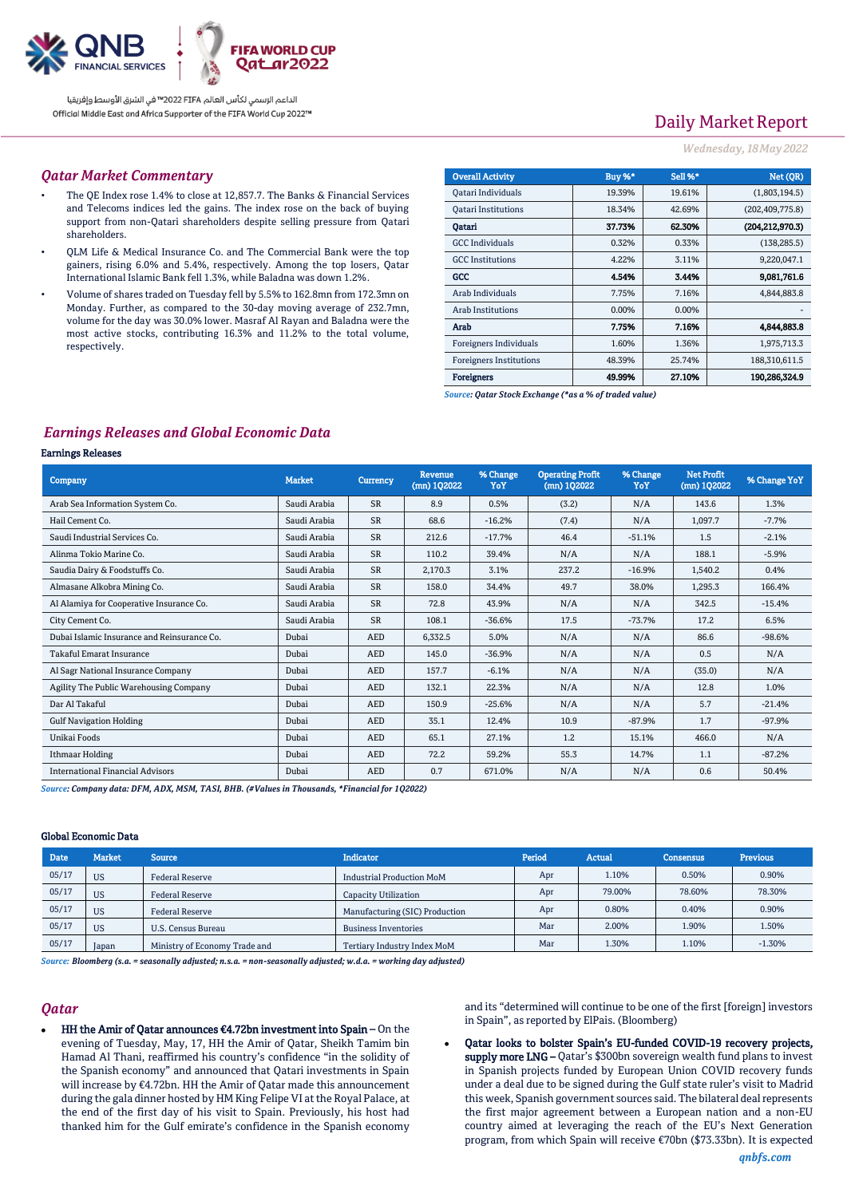

# Daily Market Report

### *Wednesday, 18May 2022*

### *Qatar Market Commentary*

- The QE Index rose 1.4% to close at 12,857.7. The Banks & Financial Services and Telecoms indices led the gains. The index rose on the back of buying support from non-Qatari shareholders despite selling pressure from Qatari shareholders.
- QLM Life & Medical Insurance Co. and The Commercial Bank were the top gainers, rising 6.0% and 5.4%, respectively. Among the top losers, Qatar International Islamic Bank fell 1.3%, while Baladna was down 1.2%.
- Volume of shares traded on Tuesday fell by 5.5% to 162.8mn from 172.3mn on Monday. Further, as compared to the 30-day moving average of 232.7mn, volume for the day was 30.0% lower. Masraf Al Rayan and Baladna were the most active stocks, contributing 16.3% and 11.2% to the total volume, respectively.

| <b>Overall Activity</b>        | Buy %* | Sell %* | Net (QR)          |
|--------------------------------|--------|---------|-------------------|
| Qatari Individuals             | 19.39% | 19.61%  | (1,803,194.5)     |
| <b>Oatari Institutions</b>     | 18.34% | 42.69%  | (202, 409, 775.8) |
| Oatari                         | 37.73% | 62.30%  | (204.212.970.3)   |
| <b>GCC</b> Individuals         | 0.32%  | 0.33%   | (138, 285.5)      |
| <b>GCC</b> Institutions        | 4.22%  | 3.11%   | 9,220,047.1       |
| GCC                            | 4.54%  | 3.44%   | 9.081.761.6       |
| Arab Individuals               | 7.75%  | 7.16%   | 4,844,883.8       |
| <b>Arab Institutions</b>       | 0.00%  | 0.00%   |                   |
| Arab                           | 7.75%  | 7.16%   | 4.844,883.8       |
| Foreigners Individuals         | 1.60%  | 1.36%   | 1,975,713.3       |
| <b>Foreigners Institutions</b> | 48.39% | 25.74%  | 188,310,611.5     |
| <b>Foreigners</b>              | 49.99% | 27.10%  | 190,286,324.9     |

*Source: Qatar Stock Exchange (\*as a % of traded value)*

## *Earnings Releases and Global Economic Data*

#### Earnings Releases

| Company                                     | <b>Market</b> | <b>Currency</b> | <b>Revenue</b><br>$(mn)$ 102022 | % Change<br>YoY | <b>Operating Profit</b><br>$(mn)$ 102022 | % Change<br>YoY | <b>Net Profit</b><br>(mn) 102022 | % Change YoY |
|---------------------------------------------|---------------|-----------------|---------------------------------|-----------------|------------------------------------------|-----------------|----------------------------------|--------------|
| Arab Sea Information System Co.             | Saudi Arabia  | <b>SR</b>       | 8.9                             | 0.5%            | (3.2)                                    | N/A             | 143.6                            | 1.3%         |
| Hail Cement Co.                             | Saudi Arabia  | <b>SR</b>       | 68.6                            | $-16.2%$        | (7.4)                                    | N/A             | 1,097.7                          | $-7.7%$      |
| Saudi Industrial Services Co.               | Saudi Arabia  | <b>SR</b>       | 212.6                           | $-17.7%$        | 46.4                                     | $-51.1%$        | 1.5                              | $-2.1%$      |
| Alinma Tokio Marine Co.                     | Saudi Arabia  | <b>SR</b>       | 110.2                           | 39.4%           | N/A                                      | N/A             | 188.1                            | $-5.9%$      |
| Saudia Dairy & Foodstuffs Co.               | Saudi Arabia  | SR              | 2,170.3                         | 3.1%            | 237.2                                    | $-16.9%$        | 1,540.2                          | 0.4%         |
| Almasane Alkobra Mining Co.                 | Saudi Arabia  | <b>SR</b>       | 158.0                           | 34.4%           | 49.7                                     | 38.0%           | 1,295.3                          | 166.4%       |
| Al Alamiya for Cooperative Insurance Co.    | Saudi Arabia  | <b>SR</b>       | 72.8                            | 43.9%           | N/A                                      | N/A             | 342.5                            | $-15.4%$     |
| City Cement Co.                             | Saudi Arabia  | <b>SR</b>       | 108.1                           | $-36.6%$        | 17.5                                     | $-73.7%$        | 17.2                             | 6.5%         |
| Dubai Islamic Insurance and Reinsurance Co. | Dubai         | <b>AED</b>      | 6,332.5                         | 5.0%            | N/A                                      | N/A             | 86.6                             | $-98.6%$     |
| <b>Takaful Emarat Insurance</b>             | Dubai         | <b>AED</b>      | 145.0                           | $-36.9%$        | N/A                                      | N/A             | 0.5                              | N/A          |
| Al Sagr National Insurance Company          | Dubai         | <b>AED</b>      | 157.7                           | $-6.1%$         | N/A                                      | N/A             | (35.0)                           | N/A          |
| Agility The Public Warehousing Company      | Dubai         | <b>AED</b>      | 132.1                           | 22.3%           | N/A                                      | N/A             | 12.8                             | 1.0%         |
| Dar Al Takaful                              | Dubai         | <b>AED</b>      | 150.9                           | $-25.6%$        | N/A                                      | N/A             | 5.7                              | $-21.4%$     |
| <b>Gulf Navigation Holding</b>              | Dubai         | <b>AED</b>      | 35.1                            | 12.4%           | 10.9                                     | $-87.9%$        | 1.7                              | $-97.9%$     |
| Unikai Foods                                | Dubai         | <b>AED</b>      | 65.1                            | 27.1%           | 1.2                                      | 15.1%           | 466.0                            | N/A          |
| Ithmaar Holding                             | Dubai         | <b>AED</b>      | 72.2                            | 59.2%           | 55.3                                     | 14.7%           | 1.1                              | $-87.2%$     |
| <b>International Financial Advisors</b>     | Dubai         | <b>AED</b>      | 0.7                             | 671.0%          | N/A                                      | N/A             | 0.6                              | 50.4%        |

*Source: Company data: DFM, ADX, MSM, TASI, BHB. (#Values in Thousands, \*Financial for 1Q2022)*

#### Global Economic Data

| Date  | <b>Market</b> | <b>Source</b>                 | <b>Indicator</b>                   | Period | Actual | Consensus | <b>Previous</b> |
|-------|---------------|-------------------------------|------------------------------------|--------|--------|-----------|-----------------|
| 05/17 | <b>US</b>     | <b>Federal Reserve</b>        | <b>Industrial Production MoM</b>   | Apr    | 1.10%  | 0.50%     | 0.90%           |
| 05/17 | <b>US</b>     | <b>Federal Reserve</b>        | <b>Capacity Utilization</b>        | Apr    | 79.00% | 78.60%    | 78.30%          |
| 05/17 | <b>US</b>     | <b>Federal Reserve</b>        | Manufacturing (SIC) Production     | Apr    | 0.80%  | 0.40%     | 0.90%           |
| 05/17 | <b>US</b>     | U.S. Census Bureau            | <b>Business Inventories</b>        | Mar    | 2.00%  | 1.90%     | 1.50%           |
| 05/17 | Japan         | Ministry of Economy Trade and | <b>Tertiary Industry Index MoM</b> | Mar    | 1.30%  | 1.10%     | $-1.30%$        |

*Source: Bloomberg (s.a. = seasonally adjusted; n.s.a. = non-seasonally adjusted; w.d.a. = working day adjusted)*

#### *Qatar*

 HH the Amir of Qatar announces €4.72bn investment into Spain – On the evening of Tuesday, May, 17, HH the Amir of Qatar, Sheikh Tamim bin Hamad Al Thani, reaffirmed his country's confidence "in the solidity of the Spanish economy" and announced that Qatari investments in Spain will increase by €4.72bn. HH the Amir of Qatar made this announcement during the gala dinner hosted by HM King Felipe VI at the Royal Palace, at the end of the first day of his visit to Spain. Previously, his host had thanked him for the Gulf emirate's confidence in the Spanish economy

and its "determined will continue to be one of the first [foreign] investors in Spain", as reported by ElPais. (Bloomberg)

 Qatar looks to bolster Spain's EU-funded COVID-19 recovery projects, supply more LNG - Qatar's \$300bn sovereign wealth fund plans to invest in Spanish projects funded by European Union COVID recovery funds under a deal due to be signed during the Gulf state ruler's visit to Madrid this week, Spanish government sources said. The bilateral deal represents the first major agreement between a European nation and a non-EU country aimed at leveraging the reach of the EU's Next Generation program, from which Spain will receive €70bn (\$73.33bn). It is expected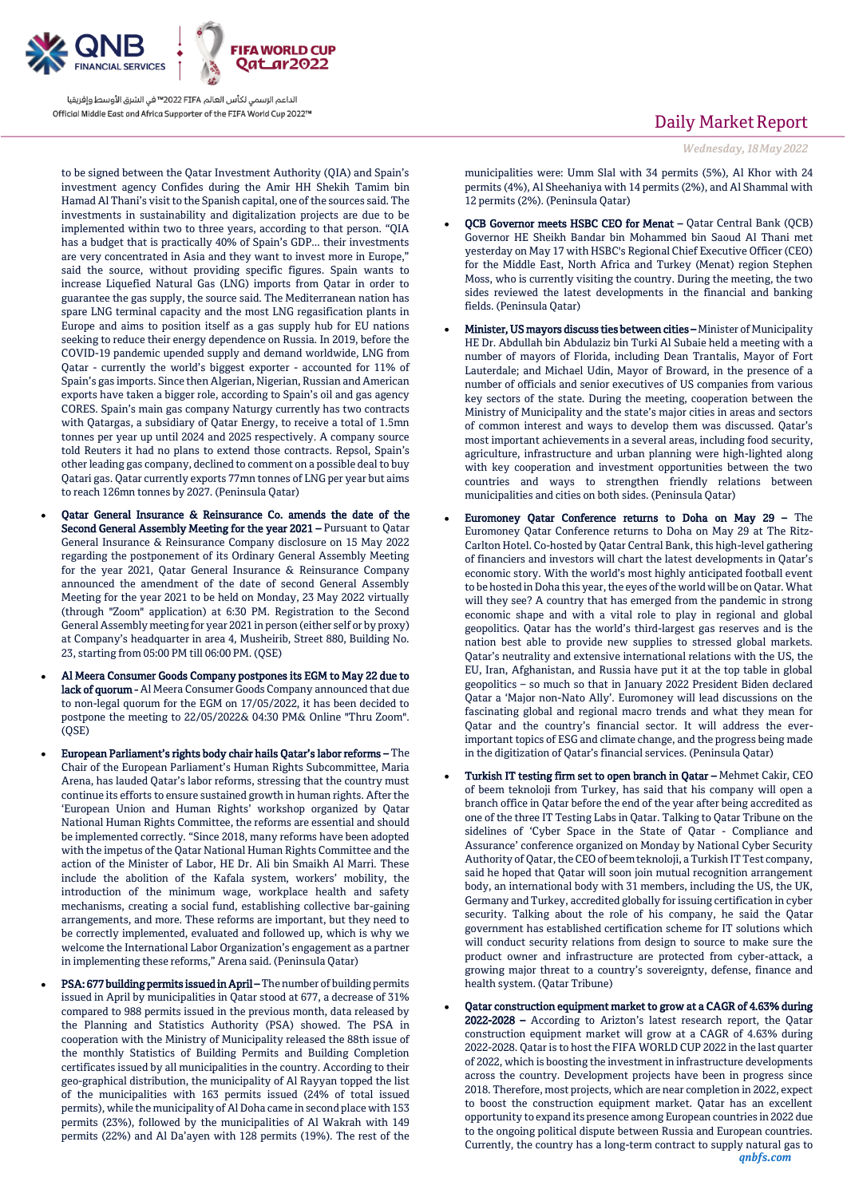

to be signed between the Qatar Investment Authority (QIA) and Spain's investment agency Confides during the Amir HH Shekih Tamim bin Hamad Al Thani's visit to the Spanish capital, one of the sources said. The investments in sustainability and digitalization projects are due to be implemented within two to three years, according to that person. "QIA has a budget that is practically 40% of Spain's GDP... their investments are very concentrated in Asia and they want to invest more in Europe," said the source, without providing specific figures. Spain wants to increase Liquefied Natural Gas (LNG) imports from Qatar in order to guarantee the gas supply, the source said. The Mediterranean nation has spare LNG terminal capacity and the most LNG regasification plants in Europe and aims to position itself as a gas supply hub for EU nations seeking to reduce their energy dependence on Russia. In 2019, before the COVID-19 pandemic upended supply and demand worldwide, LNG from Qatar - currently the world's biggest exporter - accounted for 11% of Spain's gas imports. Since then Algerian, Nigerian, Russian and American exports have taken a bigger role, according to Spain's oil and gas agency CORES. Spain's main gas company Naturgy currently has two contracts with Qatargas, a subsidiary of Qatar Energy, to receive a total of 1.5mn tonnes per year up until 2024 and 2025 respectively. A company source told Reuters it had no plans to extend those contracts. Repsol, Spain's other leading gas company, declined to comment on a possible deal to buy Qatari gas. Qatar currently exports 77mn tonnes of LNG per year but aims to reach 126mn tonnes by 2027. (Peninsula Qatar)

- Qatar General Insurance & Reinsurance Co. amends the date of the Second General Assembly Meeting for the year 2021 – Pursuant to Qatar General Insurance & Reinsurance Company disclosure on 15 May 2022 regarding the postponement of its Ordinary General Assembly Meeting for the year 2021, Qatar General Insurance & Reinsurance Company announced the amendment of the date of second General Assembly Meeting for the year 2021 to be held on Monday, 23 May 2022 virtually (through "Zoom" application) at 6:30 PM. Registration to the Second General Assembly meeting for year 2021 in person (either self or by proxy) at Company's headquarter in area 4, Musheirib, Street 880, Building No. 23, starting from 05:00 PM till 06:00 PM. (QSE)
- Al Meera Consumer Goods Company postpones its EGM to May 22 due to lack of quorum - Al Meera Consumer Goods Company announced that due to non-legal quorum for the EGM on 17/05/2022, it has been decided to postpone the meeting to 22/05/2022& 04:30 PM& Online "Thru Zoom".  $(OSE)$
- European Parliament's rights body chair hails Qatar's labor reforms The Chair of the European Parliament's Human Rights Subcommittee, Maria Arena, has lauded Qatar's labor reforms, stressing that the country must continue its efforts to ensure sustained growth in human rights. After the 'European Union and Human Rights' workshop organized by Qatar National Human Rights Committee, the reforms are essential and should be implemented correctly. "Since 2018, many reforms have been adopted with the impetus of the Qatar National Human Rights Committee and the action of the Minister of Labor, HE Dr. Ali bin Smaikh Al Marri. These include the abolition of the Kafala system, workers' mobility, the introduction of the minimum wage, workplace health and safety mechanisms, creating a social fund, establishing collective bar-gaining arrangements, and more. These reforms are important, but they need to be correctly implemented, evaluated and followed up, which is why we welcome the International Labor Organization's engagement as a partner in implementing these reforms," Arena said. (Peninsula Qatar)
- PSA: 677 building permits issued in April The number of building permits issued in April by municipalities in Qatar stood at 677, a decrease of 31% compared to 988 permits issued in the previous month, data released by the Planning and Statistics Authority (PSA) showed. The PSA in cooperation with the Ministry of Municipality released the 88th issue of the monthly Statistics of Building Permits and Building Completion certificates issued by all municipalities in the country. According to their geo-graphical distribution, the municipality of Al Rayyan topped the list of the municipalities with 163 permits issued (24% of total issued permits), while the municipality of Al Doha came in second place with 153 permits (23%), followed by the municipalities of Al Wakrah with 149 permits (22%) and Al Da'ayen with 128 permits (19%). The rest of the

# Daily Market Report

*Wednesday, 18May 2022*

municipalities were: Umm Slal with 34 permits (5%), Al Khor with 24 permits (4%), Al Sheehaniya with 14 permits (2%), and Al Shammal with 12 permits (2%). (Peninsula Qatar)

- QCB Governor meets HSBC CEO for Menat Qatar Central Bank (QCB) Governor HE Sheikh Bandar bin Mohammed bin Saoud Al Thani met yesterday on May 17 with HSBC's Regional Chief Executive Officer (CEO) for the Middle East, North Africa and Turkey (Menat) region Stephen Moss, who is currently visiting the country. During the meeting, the two sides reviewed the latest developments in the financial and banking fields. (Peninsula Qatar)
- Minister, US mayors discuss ties between cities Minister of Municipality HE Dr. Abdullah bin Abdulaziz bin Turki Al Subaie held a meeting with a number of mayors of Florida, including Dean Trantalis, Mayor of Fort Lauterdale; and Michael Udin, Mayor of Broward, in the presence of a number of officials and senior executives of US companies from various key sectors of the state. During the meeting, cooperation between the Ministry of Municipality and the state's major cities in areas and sectors of common interest and ways to develop them was discussed. Qatar's most important achievements in a several areas, including food security, agriculture, infrastructure and urban planning were high-lighted along with key cooperation and investment opportunities between the two countries and ways to strengthen friendly relations between municipalities and cities on both sides. (Peninsula Qatar)
- Euromoney Qatar Conference returns to Doha on May 29 The Euromoney Qatar Conference returns to Doha on May 29 at The Ritz-Carlton Hotel. Co-hosted by Qatar Central Bank, this high-level gathering of financiers and investors will chart the latest developments in Qatar's economic story. With the world's most highly anticipated football event to be hosted in Doha this year, the eyes of the world will be on Qatar. What will they see? A country that has emerged from the pandemic in strong economic shape and with a vital role to play in regional and global geopolitics. Qatar has the world's third-largest gas reserves and is the nation best able to provide new supplies to stressed global markets. Qatar's neutrality and extensive international relations with the US, the EU, Iran, Afghanistan, and Russia have put it at the top table in global geopolitics – so much so that in January 2022 President Biden declared Qatar a 'Major non-Nato Ally'. Euromoney will lead discussions on the fascinating global and regional macro trends and what they mean for Qatar and the country's financial sector. It will address the everimportant topics of ESG and climate change, and the progress being made in the digitization of Qatar's financial services. (Peninsula Qatar)
- Turkish IT testing firm set to open branch in Qatar Mehmet Cakir, CEO of beem teknoloji from Turkey, has said that his company will open a branch office in Qatar before the end of the year after being accredited as one of the three IT Testing Labs in Qatar. Talking to Qatar Tribune on the sidelines of 'Cyber Space in the State of Qatar - Compliance and Assurance' conference organized on Monday by National Cyber Security Authority of Qatar, the CEO of beem teknoloji, a Turkish IT Test company, said he hoped that Qatar will soon join mutual recognition arrangement body, an international body with 31 members, including the US, the UK, Germany and Turkey, accredited globally for issuing certification in cyber security. Talking about the role of his company, he said the Qatar government has established certification scheme for IT solutions which will conduct security relations from design to source to make sure the product owner and infrastructure are protected from cyber-attack, a growing major threat to a country's sovereignty, defense, finance and health system. (Qatar Tribune)
- Qatar construction equipment market to grow at a CAGR of 4.63% during 2022-2028 – According to Arizton's latest research report, the Qatar construction equipment market will grow at a CAGR of 4.63% during 2022-2028. Qatar is to host the FIFA WORLD CUP 2022 in the last quarter of 2022, which is boosting the investment in infrastructure developments across the country. Development projects have been in progress since 2018. Therefore, most projects, which are near completion in 2022, expect to boost the construction equipment market. Qatar has an excellent opportunity to expand its presence among European countries in 2022 due to the ongoing political dispute between Russia and European countries. Currently, the country has a long-term contract to supply natural gas to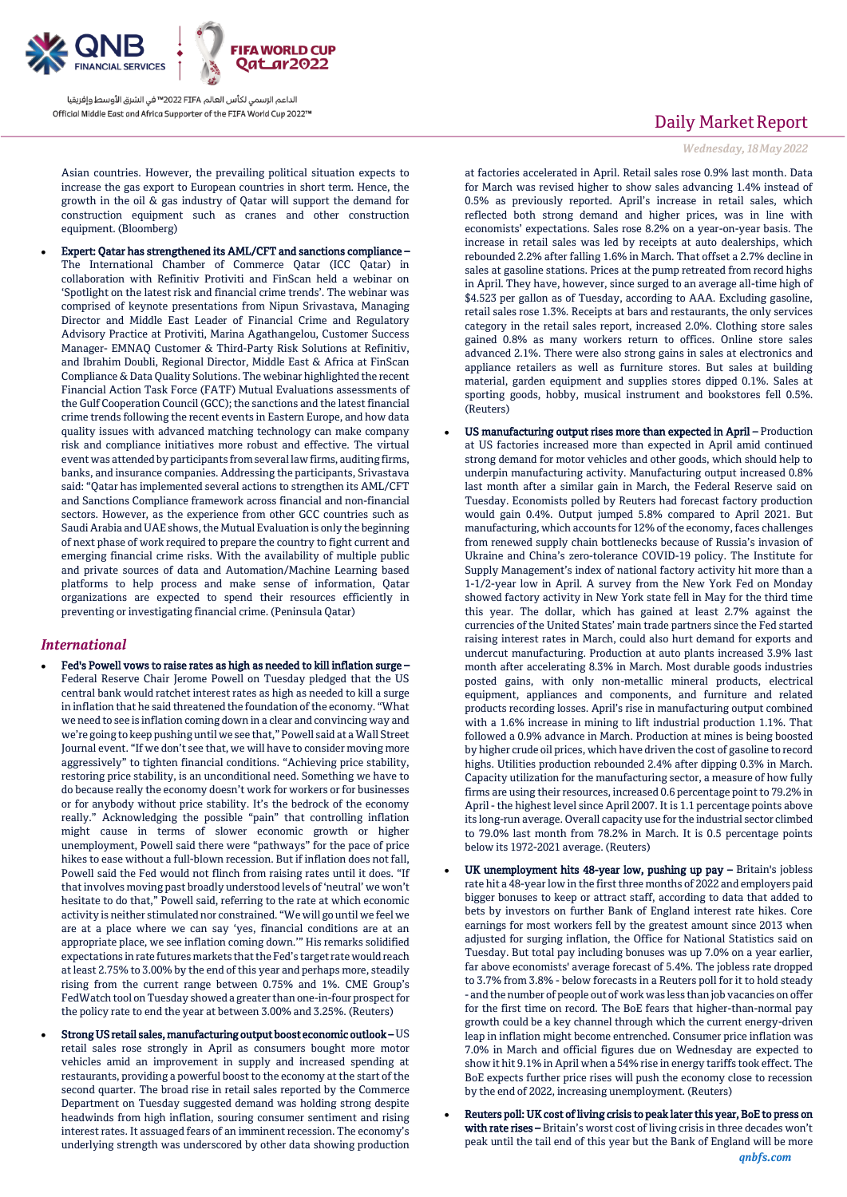

Asian countries. However, the prevailing political situation expects to increase the gas export to European countries in short term. Hence, the growth in the oil & gas industry of Qatar will support the demand for construction equipment such as cranes and other construction equipment. (Bloomberg)

 Expert: Qatar has strengthened its AML/CFT and sanctions compliance – The International Chamber of Commerce Qatar (ICC Qatar) in collaboration with Refinitiv Protiviti and FinScan held a webinar on 'Spotlight on the latest risk and financial crime trends'. The webinar was comprised of keynote presentations from Nipun Srivastava, Managing Director and Middle East Leader of Financial Crime and Regulatory Advisory Practice at Protiviti, Marina Agathangelou, Customer Success Manager- EMNAQ Customer & Third-Party Risk Solutions at Refinitiv, and Ibrahim Doubli, Regional Director, Middle East & Africa at FinScan Compliance & Data Quality Solutions. The webinar highlighted the recent Financial Action Task Force (FATF) Mutual Evaluations assessments of the Gulf Cooperation Council (GCC); the sanctions and the latest financial crime trends following the recent events in Eastern Europe, and how data quality issues with advanced matching technology can make company risk and compliance initiatives more robust and effective. The virtual event was attended by participants from several law firms, auditing firms, banks, and insurance companies. Addressing the participants, Srivastava said: "Qatar has implemented several actions to strengthen its AML/CFT and Sanctions Compliance framework across financial and non-financial sectors. However, as the experience from other GCC countries such as Saudi Arabia and UAE shows, the Mutual Evaluation is only the beginning of next phase of work required to prepare the country to fight current and emerging financial crime risks. With the availability of multiple public and private sources of data and Automation/Machine Learning based platforms to help process and make sense of information, Qatar organizations are expected to spend their resources efficiently in preventing or investigating financial crime. (Peninsula Qatar)

### *International*

- Fed's Powell vows to raise rates as high as needed to kill inflation surge Federal Reserve Chair Jerome Powell on Tuesday pledged that the US central bank would ratchet interest rates as high as needed to kill a surge in inflation that he said threatened the foundation of the economy. "What we need to see is inflation coming down in a clear and convincing way and we're going to keep pushing until we see that," Powell said at a Wall Street Journal event. "If we don't see that, we will have to consider moving more aggressively" to tighten financial conditions. "Achieving price stability, restoring price stability, is an unconditional need. Something we have to do because really the economy doesn't work for workers or for businesses or for anybody without price stability. It's the bedrock of the economy really." Acknowledging the possible "pain" that controlling inflation might cause in terms of slower economic growth or higher unemployment, Powell said there were "pathways" for the pace of price hikes to ease without a full-blown recession. But if inflation does not fall, Powell said the Fed would not flinch from raising rates until it does. "If that involves moving past broadly understood levels of 'neutral' we won't hesitate to do that," Powell said, referring to the rate at which economic activity is neither stimulated nor constrained. "We will go until we feel we are at a place where we can say 'yes, financial conditions are at an appropriate place, we see inflation coming down.'" His remarks solidified expectations in rate futures markets that the Fed's target rate would reach at least 2.75% to 3.00% by the end of this year and perhaps more, steadily rising from the current range between 0.75% and 1%. CME Group's FedWatch tool on Tuesday showed a greater than one-in-four prospect for the policy rate to end the year at between 3.00% and 3.25%. (Reuters)
- Strong US retail sales, manufacturing output boost economic outlook US retail sales rose strongly in April as consumers bought more motor vehicles amid an improvement in supply and increased spending at restaurants, providing a powerful boost to the economy at the start of the second quarter. The broad rise in retail sales reported by the Commerce Department on Tuesday suggested demand was holding strong despite headwinds from high inflation, souring consumer sentiment and rising interest rates. It assuaged fears of an imminent recession. The economy's underlying strength was underscored by other data showing production

# Daily Market Report

### *Wednesday, 18May 2022*

at factories accelerated in April. Retail sales rose 0.9% last month. Data for March was revised higher to show sales advancing 1.4% instead of 0.5% as previously reported. April's increase in retail sales, which reflected both strong demand and higher prices, was in line with economists' expectations. Sales rose 8.2% on a year-on-year basis. The increase in retail sales was led by receipts at auto dealerships, which rebounded 2.2% after falling 1.6% in March. That offset a 2.7% decline in sales at gasoline stations. Prices at the pump retreated from record highs in April. They have, however, since surged to an average all-time high of \$4.523 per gallon as of Tuesday, according to AAA. Excluding gasoline, retail sales rose 1.3%. Receipts at bars and restaurants, the only services category in the retail sales report, increased 2.0%. Clothing store sales gained 0.8% as many workers return to offices. Online store sales advanced 2.1%. There were also strong gains in sales at electronics and appliance retailers as well as furniture stores. But sales at building material, garden equipment and supplies stores dipped 0.1%. Sales at sporting goods, hobby, musical instrument and bookstores fell 0.5%. (Reuters)

- US manufacturing output rises more than expected in April Production at US factories increased more than expected in April amid continued strong demand for motor vehicles and other goods, which should help to underpin manufacturing activity. Manufacturing output increased 0.8% last month after a similar gain in March, the Federal Reserve said on Tuesday. Economists polled by Reuters had forecast factory production would gain 0.4%. Output jumped 5.8% compared to April 2021. But manufacturing, which accounts for 12% of the economy, faces challenges from renewed supply chain bottlenecks because of Russia's invasion of Ukraine and China's zero-tolerance COVID-19 policy. The Institute for Supply Management's index of national factory activity hit more than a 1-1/2-year low in April. A survey from the New York Fed on Monday showed factory activity in New York state fell in May for the third time this year. The dollar, which has gained at least 2.7% against the currencies of the United States' main trade partners since the Fed started raising interest rates in March, could also hurt demand for exports and undercut manufacturing. Production at auto plants increased 3.9% last month after accelerating 8.3% in March. Most durable goods industries posted gains, with only non-metallic mineral products, electrical equipment, appliances and components, and furniture and related products recording losses. April's rise in manufacturing output combined with a 1.6% increase in mining to lift industrial production 1.1%. That followed a 0.9% advance in March. Production at mines is being boosted by higher crude oil prices, which have driven the cost of gasoline to record highs. Utilities production rebounded 2.4% after dipping 0.3% in March. Capacity utilization for the manufacturing sector, a measure of how fully firms are using their resources, increased 0.6 percentage point to 79.2% in April - the highest level since April 2007. It is 1.1 percentage points above its long-run average. Overall capacity use for the industrial sector climbed to 79.0% last month from 78.2% in March. It is 0.5 percentage points below its 1972-2021 average. (Reuters)
- UK unemployment hits 48-year low, pushing up pay Britain's jobless rate hit a 48-year low in the first three months of 2022 and employers paid bigger bonuses to keep or attract staff, according to data that added to bets by investors on further Bank of England interest rate hikes. Core earnings for most workers fell by the greatest amount since 2013 when adjusted for surging inflation, the Office for National Statistics said on Tuesday. But total pay including bonuses was up 7.0% on a year earlier, far above economists' average forecast of 5.4%. The jobless rate dropped to 3.7% from 3.8% - below forecasts in a Reuters poll for it to hold steady - and the number of people out of work was less than job vacancies on offer for the first time on record. The BoE fears that higher-than-normal pay growth could be a key channel through which the current energy-driven leap in inflation might become entrenched. Consumer price inflation was 7.0% in March and official figures due on Wednesday are expected to show it hit 9.1% in April when a 54% rise in energy tariffs took effect. The BoE expects further price rises will push the economy close to recession by the end of 2022, increasing unemployment. (Reuters)
- *qnbfs.com* Reuters poll: UK cost of living crisis to peak later this year, BoE to press on with rate rises - Britain's worst cost of living crisis in three decades won't peak until the tail end of this year but the Bank of England will be more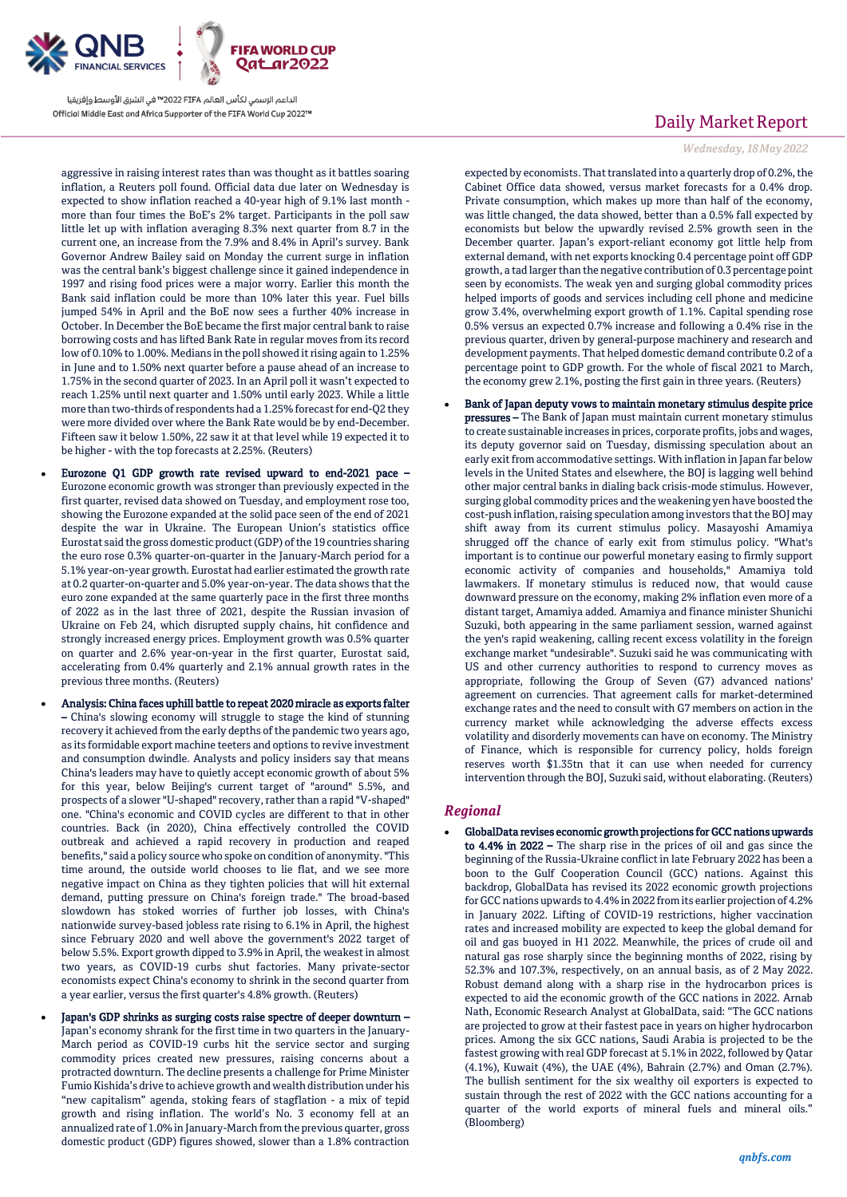

aggressive in raising interest rates than was thought as it battles soaring inflation, a Reuters poll found. Official data due later on Wednesday is expected to show inflation reached a 40-year high of 9.1% last month more than four times the BoE's 2% target. Participants in the poll saw little let up with inflation averaging 8.3% next quarter from 8.7 in the current one, an increase from the 7.9% and 8.4% in April's survey. Bank Governor Andrew Bailey said on Monday the current surge in inflation was the central bank's biggest challenge since it gained independence in 1997 and rising food prices were a major worry. Earlier this month the Bank said inflation could be more than 10% later this year. Fuel bills jumped 54% in April and the BoE now sees a further 40% increase in October. In December the BoE became the first major central bank to raise borrowing costs and has lifted Bank Rate in regular moves from its record low of 0.10% to 1.00%. Medians in the poll showed it rising again to 1.25% in June and to 1.50% next quarter before a pause ahead of an increase to 1.75% in the second quarter of 2023. In an April poll it wasn't expected to reach 1.25% until next quarter and 1.50% until early 2023. While a little more than two-thirds of respondents had a 1.25% forecast for end-Q2 they were more divided over where the Bank Rate would be by end-December. Fifteen saw it below 1.50%, 22 saw it at that level while 19 expected it to be higher - with the top forecasts at 2.25%. (Reuters)

- Eurozone Q1 GDP growth rate revised upward to end-2021 pace Eurozone economic growth was stronger than previously expected in the first quarter, revised data showed on Tuesday, and employment rose too, showing the Eurozone expanded at the solid pace seen of the end of 2021 despite the war in Ukraine. The European Union's statistics office Eurostat said the gross domestic product (GDP) of the 19 countries sharing the euro rose 0.3% quarter-on-quarter in the January-March period for a 5.1% year-on-year growth. Eurostat had earlier estimated the growth rate at 0.2 quarter-on-quarter and 5.0% year-on-year. The data shows that the euro zone expanded at the same quarterly pace in the first three months of 2022 as in the last three of 2021, despite the Russian invasion of Ukraine on Feb 24, which disrupted supply chains, hit confidence and strongly increased energy prices. Employment growth was 0.5% quarter on quarter and 2.6% year-on-year in the first quarter, Eurostat said, accelerating from 0.4% quarterly and 2.1% annual growth rates in the previous three months. (Reuters)
- Analysis: China faces uphill battle to repeat 2020 miracle as exports falter – China's slowing economy will struggle to stage the kind of stunning recovery it achieved from the early depths of the pandemic two years ago, as its formidable export machine teeters and options to revive investment and consumption dwindle. Analysts and policy insiders say that means China's leaders may have to quietly accept economic growth of about 5% for this year, below Beijing's current target of "around" 5.5%, and prospects of a slower "U-shaped" recovery, rather than a rapid "V-shaped" one. "China's economic and COVID cycles are different to that in other countries. Back (in 2020), China effectively controlled the COVID outbreak and achieved a rapid recovery in production and reaped benefits," said a policy source who spoke on condition of anonymity. "This time around, the outside world chooses to lie flat, and we see more negative impact on China as they tighten policies that will hit external demand, putting pressure on China's foreign trade." The broad-based slowdown has stoked worries of further job losses, with China's nationwide survey-based jobless rate rising to 6.1% in April, the highest since February 2020 and well above the government's 2022 target of below 5.5%. Export growth dipped to 3.9% in April, the weakest in almost two years, as COVID-19 curbs shut factories. Many private-sector economists expect China's economy to shrink in the second quarter from a year earlier, versus the first quarter's 4.8% growth. (Reuters)
- Japan's GDP shrinks as surging costs raise spectre of deeper downturn Japan's economy shrank for the first time in two quarters in the January-March period as COVID-19 curbs hit the service sector and surging commodity prices created new pressures, raising concerns about a protracted downturn. The decline presents a challenge for Prime Minister Fumio Kishida's drive to achieve growth and wealth distribution under his "new capitalism" agenda, stoking fears of stagflation - a mix of tepid growth and rising inflation. The world's No. 3 economy fell at an annualized rate of 1.0% in January-March from the previous quarter, gross domestic product (GDP) figures showed, slower than a 1.8% contraction

# Daily Market Report

### *Wednesday, 18May 2022*

expected by economists. That translated into a quarterly drop of 0.2%, the Cabinet Office data showed, versus market forecasts for a 0.4% drop. Private consumption, which makes up more than half of the economy, was little changed, the data showed, better than a 0.5% fall expected by economists but below the upwardly revised 2.5% growth seen in the December quarter. Japan's export-reliant economy got little help from external demand, with net exports knocking 0.4 percentage point off GDP growth, a tad larger than the negative contribution of 0.3 percentage point seen by economists. The weak yen and surging global commodity prices helped imports of goods and services including cell phone and medicine grow 3.4%, overwhelming export growth of 1.1%. Capital spending rose 0.5% versus an expected 0.7% increase and following a 0.4% rise in the previous quarter, driven by general-purpose machinery and research and development payments. That helped domestic demand contribute 0.2 of a percentage point to GDP growth. For the whole of fiscal 2021 to March, the economy grew 2.1%, posting the first gain in three years. (Reuters)

 Bank of Japan deputy vows to maintain monetary stimulus despite price pressures – The Bank of Japan must maintain current monetary stimulus to create sustainable increases in prices, corporate profits, jobs and wages, its deputy governor said on Tuesday, dismissing speculation about an early exit from accommodative settings. With inflation in Japan far below levels in the United States and elsewhere, the BOJ is lagging well behind other major central banks in dialing back crisis-mode stimulus. However, surging global commodity prices and the weakening yen have boosted the cost-push inflation, raising speculation among investors that the BOJ may shift away from its current stimulus policy. Masayoshi Amamiya shrugged off the chance of early exit from stimulus policy. "What's important is to continue our powerful monetary easing to firmly support economic activity of companies and households," Amamiya told lawmakers. If monetary stimulus is reduced now, that would cause downward pressure on the economy, making 2% inflation even more of a distant target, Amamiya added. Amamiya and finance minister Shunichi Suzuki, both appearing in the same parliament session, warned against the yen's rapid weakening, calling recent excess volatility in the foreign exchange market "undesirable". Suzuki said he was communicating with US and other currency authorities to respond to currency moves as appropriate, following the Group of Seven (G7) advanced nations' agreement on currencies. That agreement calls for market-determined exchange rates and the need to consult with G7 members on action in the currency market while acknowledging the adverse effects excess volatility and disorderly movements can have on economy. The Ministry of Finance, which is responsible for currency policy, holds foreign reserves worth \$1.35tn that it can use when needed for currency intervention through the BOJ, Suzuki said, without elaborating. (Reuters)

### *Regional*

 GlobalData revises economic growth projections for GCC nations upwards to 4.4% in 2022 – The sharp rise in the prices of oil and gas since the beginning of the Russia-Ukraine conflict in late February 2022 has been a boon to the Gulf Cooperation Council (GCC) nations. Against this backdrop, GlobalData has revised its 2022 economic growth projections for GCC nations upwards to 4.4% in 2022 from its earlier projection of 4.2% in January 2022. Lifting of COVID-19 restrictions, higher vaccination rates and increased mobility are expected to keep the global demand for oil and gas buoyed in H1 2022. Meanwhile, the prices of crude oil and natural gas rose sharply since the beginning months of 2022, rising by 52.3% and 107.3%, respectively, on an annual basis, as of 2 May 2022. Robust demand along with a sharp rise in the hydrocarbon prices is expected to aid the economic growth of the GCC nations in 2022. Arnab Nath, Economic Research Analyst at GlobalData, said: "The GCC nations are projected to grow at their fastest pace in years on higher hydrocarbon prices. Among the six GCC nations, Saudi Arabia is projected to be the fastest growing with real GDP forecast at 5.1% in 2022, followed by Qatar (4.1%), Kuwait (4%), the UAE (4%), Bahrain (2.7%) and Oman (2.7%). The bullish sentiment for the six wealthy oil exporters is expected to sustain through the rest of 2022 with the GCC nations accounting for a quarter of the world exports of mineral fuels and mineral oils." (Bloomberg)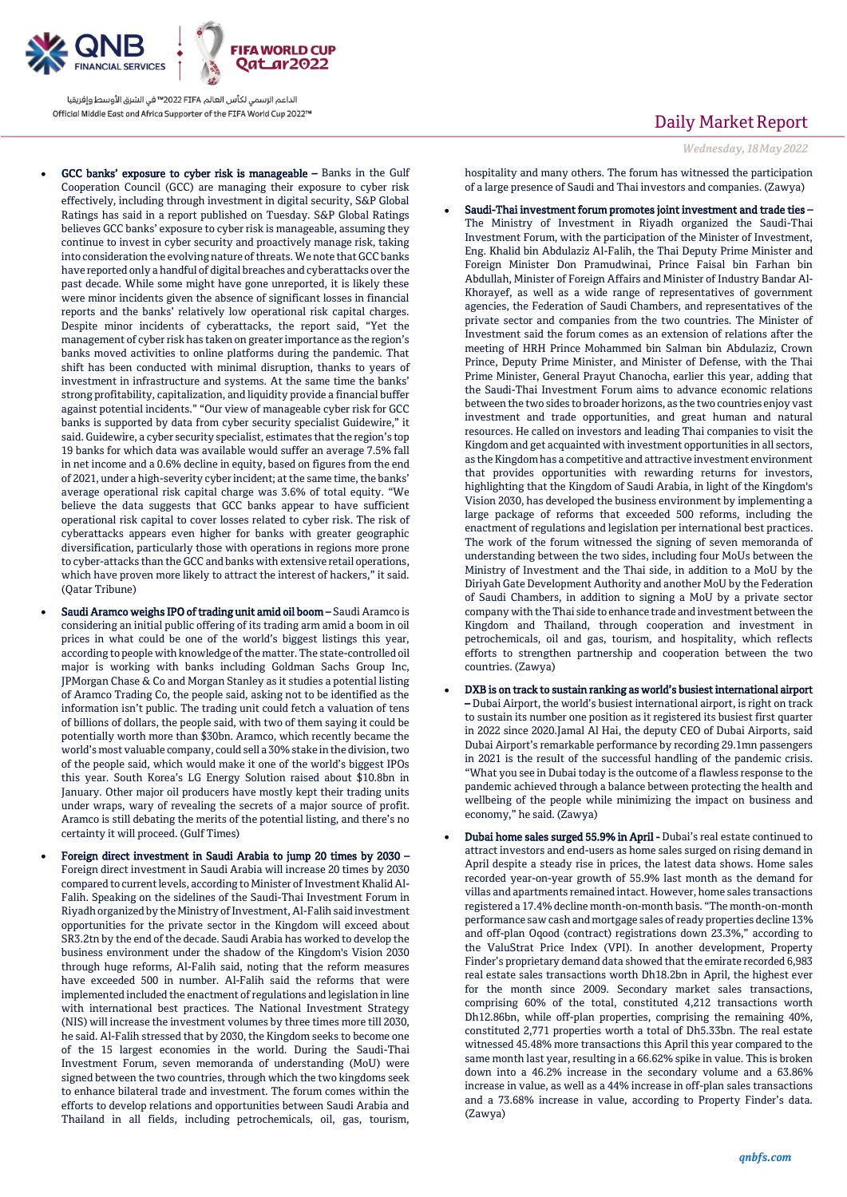

- GCC banks' exposure to cyber risk is manageable Banks in the Gulf Cooperation Council (GCC) are managing their exposure to cyber risk effectively, including through investment in digital security, S&P Global Ratings has said in a report published on Tuesday. S&P Global Ratings believes GCC banks' exposure to cyber risk is manageable, assuming they continue to invest in cyber security and proactively manage risk, taking into consideration the evolving nature of threats. We note that GCC banks have reported only a handful of digital breaches and cyberattacks over the past decade. While some might have gone unreported, it is likely these were minor incidents given the absence of significant losses in financial reports and the banks' relatively low operational risk capital charges. Despite minor incidents of cyberattacks, the report said, "Yet the management of cyber risk has taken on greater importance as the region's banks moved activities to online platforms during the pandemic. That shift has been conducted with minimal disruption, thanks to years of investment in infrastructure and systems. At the same time the banks' strong profitability, capitalization, and liquidity provide a financial buffer against potential incidents." "Our view of manageable cyber risk for GCC banks is supported by data from cyber security specialist Guidewire," it said. Guidewire, a cyber security specialist, estimates that the region's top 19 banks for which data was available would suffer an average 7.5% fall in net income and a 0.6% decline in equity, based on figures from the end of 2021, under a high-severity cyber incident; at the same time, the banks' average operational risk capital charge was 3.6% of total equity. "We believe the data suggests that GCC banks appear to have sufficient operational risk capital to cover losses related to cyber risk. The risk of cyberattacks appears even higher for banks with greater geographic diversification, particularly those with operations in regions more prone to cyber-attacks than the GCC and banks with extensive retail operations, which have proven more likely to attract the interest of hackers," it said. (Qatar Tribune)
- Saudi Aramco weighs IPO of trading unit amid oil boom Saudi Aramco is considering an initial public offering of its trading arm amid a boom in oil prices in what could be one of the world's biggest listings this year, according to people with knowledge of the matter. The state-controlled oil major is working with banks including Goldman Sachs Group Inc, JPMorgan Chase & Co and Morgan Stanley as it studies a potential listing of Aramco Trading Co, the people said, asking not to be identified as the information isn't public. The trading unit could fetch a valuation of tens of billions of dollars, the people said, with two of them saying it could be potentially worth more than \$30bn. Aramco, which recently became the world's most valuable company, could sell a 30% stake in the division, two of the people said, which would make it one of the world's biggest IPOs this year. South Korea's LG Energy Solution raised about \$10.8bn in January. Other major oil producers have mostly kept their trading units under wraps, wary of revealing the secrets of a major source of profit. Aramco is still debating the merits of the potential listing, and there's no certainty it will proceed. (Gulf Times)
- Foreign direct investment in Saudi Arabia to jump 20 times by 2030 Foreign direct investment in Saudi Arabia will increase 20 times by 2030 compared to current levels, according to Minister of Investment Khalid Al-Falih. Speaking on the sidelines of the Saudi-Thai Investment Forum in Riyadh organized by the Ministry of Investment, Al-Falih said investment opportunities for the private sector in the Kingdom will exceed about SR3.2tn by the end of the decade. Saudi Arabia has worked to develop the business environment under the shadow of the Kingdom's Vision 2030 through huge reforms, Al-Falih said, noting that the reform measures have exceeded 500 in number. Al-Falih said the reforms that were implemented included the enactment of regulations and legislation in line with international best practices. The National Investment Strategy (NIS) will increase the investment volumes by three times more till 2030, he said. Al-Falih stressed that by 2030, the Kingdom seeks to become one of the 15 largest economies in the world. During the Saudi-Thai Investment Forum, seven memoranda of understanding (MoU) were signed between the two countries, through which the two kingdoms seek to enhance bilateral trade and investment. The forum comes within the efforts to develop relations and opportunities between Saudi Arabia and Thailand in all fields, including petrochemicals, oil, gas, tourism,

# Daily Market Report

*Wednesday, 18May 2022*

hospitality and many others. The forum has witnessed the participation of a large presence of Saudi and Thai investors and companies. (Zawya)

- Saudi-Thai investment forum promotes joint investment and trade ties The Ministry of Investment in Riyadh organized the Saudi-Thai Investment Forum, with the participation of the Minister of Investment, Eng. Khalid bin Abdulaziz Al-Falih, the Thai Deputy Prime Minister and Foreign Minister Don Pramudwinai, Prince Faisal bin Farhan bin Abdullah, Minister of Foreign Affairs and Minister of Industry Bandar Al-Khorayef, as well as a wide range of representatives of government agencies, the Federation of Saudi Chambers, and representatives of the private sector and companies from the two countries. The Minister of Investment said the forum comes as an extension of relations after the meeting of HRH Prince Mohammed bin Salman bin Abdulaziz, Crown Prince, Deputy Prime Minister, and Minister of Defense, with the Thai Prime Minister, General Prayut Chanocha, earlier this year, adding that the Saudi-Thai Investment Forum aims to advance economic relations between the two sides to broader horizons, as the two countries enjoy vast investment and trade opportunities, and great human and natural resources. He called on investors and leading Thai companies to visit the Kingdom and get acquainted with investment opportunities in all sectors, as the Kingdom has a competitive and attractive investment environment that provides opportunities with rewarding returns for investors, highlighting that the Kingdom of Saudi Arabia, in light of the Kingdom's Vision 2030, has developed the business environment by implementing a large package of reforms that exceeded 500 reforms, including the enactment of regulations and legislation per international best practices. The work of the forum witnessed the signing of seven memoranda of understanding between the two sides, including four MoUs between the Ministry of Investment and the Thai side, in addition to a MoU by the Diriyah Gate Development Authority and another MoU by the Federation of Saudi Chambers, in addition to signing a MoU by a private sector company with the Thai side to enhance trade and investment between the Kingdom and Thailand, through cooperation and investment in petrochemicals, oil and gas, tourism, and hospitality, which reflects efforts to strengthen partnership and cooperation between the two countries. (Zawya)
- DXB is on track to sustain ranking as world's busiest international airport – Dubai Airport, the world's busiest international airport, is right on track to sustain its number one position as it registered its busiest first quarter in 2022 since 2020.Jamal Al Hai, the deputy CEO of Dubai Airports, said Dubai Airport's remarkable performance by recording 29.1mn passengers in 2021 is the result of the successful handling of the pandemic crisis. "What you see in Dubai today is the outcome of a flawless response to the pandemic achieved through a balance between protecting the health and wellbeing of the people while minimizing the impact on business and economy," he said. (Zawya)
- Dubai home sales surged 55.9% in April Dubai's real estate continued to attract investors and end-users as home sales surged on rising demand in April despite a steady rise in prices, the latest data shows. Home sales recorded year-on-year growth of 55.9% last month as the demand for villas and apartments remained intact. However, home sales transactions registered a 17.4% decline month-on-month basis. "The month-on-month performance saw cash and mortgage sales of ready properties decline 13% and off-plan Oqood (contract) registrations down 23.3%," according to the ValuStrat Price Index (VPI). In another development, Property Finder's proprietary demand data showed that the emirate recorded 6,983 real estate sales transactions worth Dh18.2bn in April, the highest ever for the month since 2009. Secondary market sales transactions, comprising 60% of the total, constituted 4,212 transactions worth Dh12.86bn, while off-plan properties, comprising the remaining 40%, constituted 2,771 properties worth a total of Dh5.33bn. The real estate witnessed 45.48% more transactions this April this year compared to the same month last year, resulting in a 66.62% spike in value. This is broken down into a 46.2% increase in the secondary volume and a 63.86% increase in value, as well as a 44% increase in off-plan sales transactions and a 73.68% increase in value, according to Property Finder's data. (Zawya)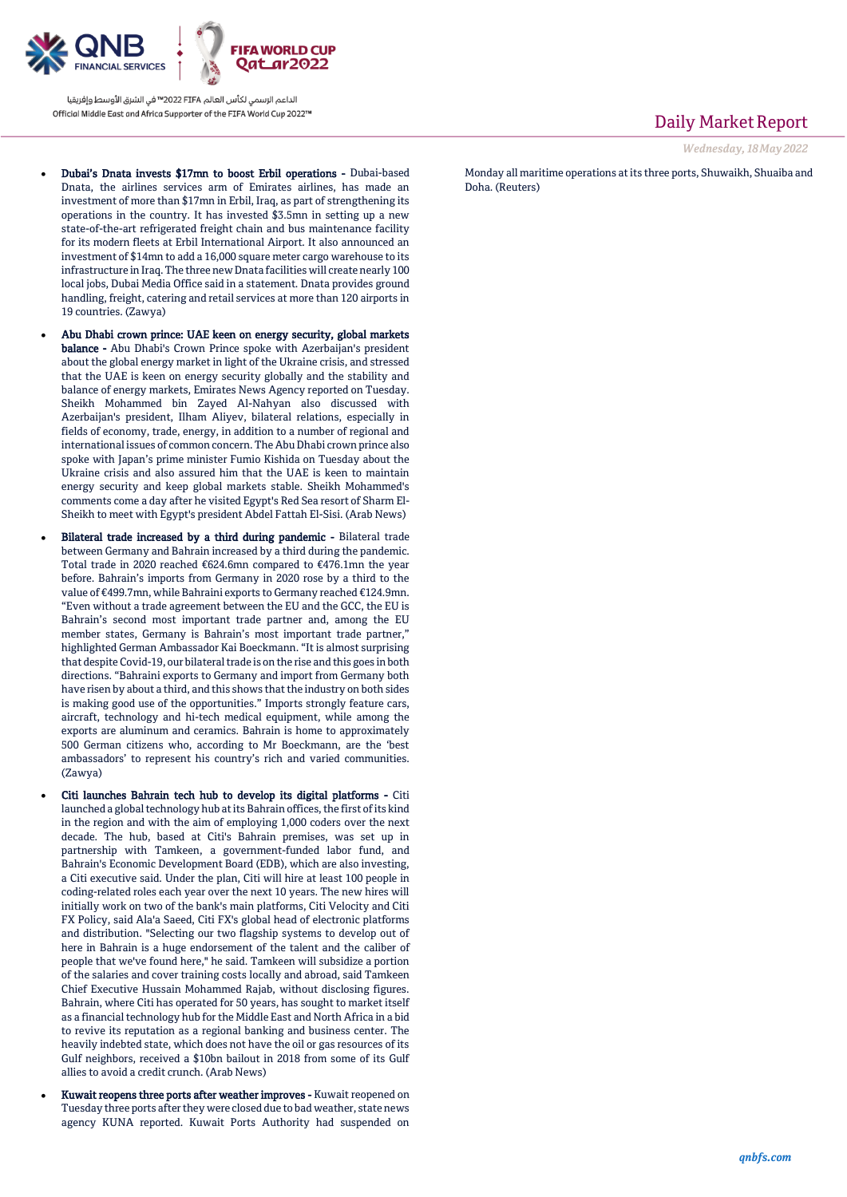

- Dubai's Dnata invests \$17mn to boost Erbil operations Dubai-based Dnata, the airlines services arm of Emirates airlines, has made an investment of more than \$17mn in Erbil, Iraq, as part of strengthening its operations in the country. It has invested \$3.5mn in setting up a new state-of-the-art refrigerated freight chain and bus maintenance facility for its modern fleets at Erbil International Airport. It also announced an investment of \$14mn to add a 16,000 square meter cargo warehouse to its infrastructure in Iraq. The three new Dnata facilities will create nearly 100 local jobs, Dubai Media Office said in a statement. Dnata provides ground handling, freight, catering and retail services at more than 120 airports in 19 countries. (Zawya)
- Abu Dhabi crown prince: UAE keen on energy security, global markets balance - Abu Dhabi's Crown Prince spoke with Azerbaijan's president about the global energy market in light of the Ukraine crisis, and stressed that the UAE is keen on energy security globally and the stability and balance of energy markets, Emirates News Agency reported on Tuesday. Sheikh Mohammed bin Zayed Al-Nahyan also discussed with Azerbaijan's president, Ilham Aliyev, bilateral relations, especially in fields of economy, trade, energy, in addition to a number of regional and international issues of common concern. The Abu Dhabi crown prince also spoke with Japan's prime minister Fumio Kishida on Tuesday about the Ukraine crisis and also assured him that the UAE is keen to maintain energy security and keep global markets stable. Sheikh Mohammed's comments come a day after he visited Egypt's Red Sea resort of Sharm El-Sheikh to meet with Egypt's president Abdel Fattah El-Sisi. (Arab News)
- Bilateral trade increased by a third during pandemic Bilateral trade between Germany and Bahrain increased by a third during the pandemic. Total trade in 2020 reached €624.6mn compared to €476.1mn the year before. Bahrain's imports from Germany in 2020 rose by a third to the value of €499.7mn, while Bahraini exports to Germany reached €124.9mn. "Even without a trade agreement between the EU and the GCC, the EU is Bahrain's second most important trade partner and, among the EU member states, Germany is Bahrain's most important trade partner," highlighted German Ambassador Kai Boeckmann. "It is almost surprising that despite Covid-19, our bilateral trade is on the rise and this goes in both directions. "Bahraini exports to Germany and import from Germany both have risen by about a third, and this shows that the industry on both sides is making good use of the opportunities." Imports strongly feature cars, aircraft, technology and hi-tech medical equipment, while among the exports are aluminum and ceramics. Bahrain is home to approximately 500 German citizens who, according to Mr Boeckmann, are the 'best ambassadors' to represent his country's rich and varied communities. (Zawya)
- Citi launches Bahrain tech hub to develop its digital platforms Citi launched a global technology hub at its Bahrain offices, the first of its kind in the region and with the aim of employing 1,000 coders over the next decade. The hub, based at Citi's Bahrain premises, was set up in partnership with Tamkeen, a government-funded labor fund, and Bahrain's Economic Development Board (EDB), which are also investing, a Citi executive said. Under the plan, Citi will hire at least 100 people in coding-related roles each year over the next 10 years. The new hires will initially work on two of the bank's main platforms, Citi Velocity and Citi FX Policy, said Ala'a Saeed, Citi FX's global head of electronic platforms and distribution. "Selecting our two flagship systems to develop out of here in Bahrain is a huge endorsement of the talent and the caliber of people that we've found here," he said. Tamkeen will subsidize a portion of the salaries and cover training costs locally and abroad, said Tamkeen Chief Executive Hussain Mohammed Rajab, without disclosing figures. Bahrain, where Citi has operated for 50 years, has sought to market itself as a financial technology hub for the Middle East and North Africa in a bid to revive its reputation as a regional banking and business center. The heavily indebted state, which does not have the oil or gas resources of its Gulf neighbors, received a \$10bn bailout in 2018 from some of its Gulf allies to avoid a credit crunch. (Arab News)
- Kuwait reopens three ports after weather improves Kuwait reopened on Tuesday three ports after they were closed due to bad weather, state news agency KUNA reported. Kuwait Ports Authority had suspended on

Daily Market Report

*Wednesday, 18May 2022*

Monday all maritime operations at its three ports, Shuwaikh, Shuaiba and Doha. (Reuters)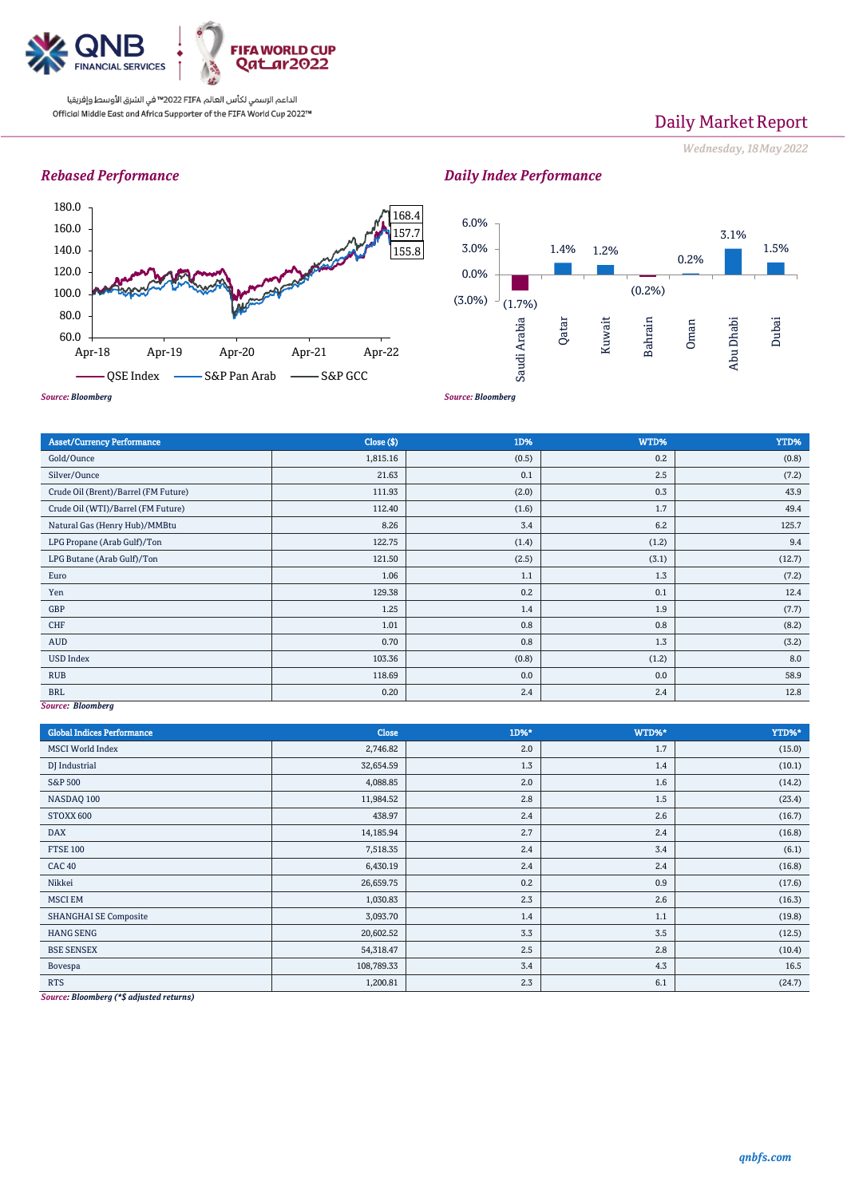

# Daily Market Report

*Wednesday, 18May 2022*

# *Rebased Performance*



#### *Source: Bloomberg*  $(1.7%)$ 1.4% 1.2% (0.2%) 0.2% 3.1% 1.5% (3.0%) 0.0% 3.0% 6.0% Saudi Arabia Qatar Kuwait Bahrain Oman Abu Dhabi Dubai

| <b>Asset/Currency Performance</b>         | Close ( \$) | 1D%   | WTD%  | YTD%   |
|-------------------------------------------|-------------|-------|-------|--------|
| Gold/Ounce                                | 1,815.16    | (0.5) | 0.2   | (0.8)  |
| Silver/Ounce                              | 21.63       | 0.1   | 2.5   | (7.2)  |
| Crude Oil (Brent)/Barrel (FM Future)      | 111.93      | (2.0) | 0.3   | 43.9   |
| Crude Oil (WTI)/Barrel (FM Future)        | 112.40      | (1.6) | 1.7   | 49.4   |
| Natural Gas (Henry Hub)/MMBtu             | 8.26        | 3.4   | 6.2   | 125.7  |
| LPG Propane (Arab Gulf)/Ton               | 122.75      | (1.4) | (1.2) | 9.4    |
| LPG Butane (Arab Gulf)/Ton                | 121.50      | (2.5) | (3.1) | (12.7) |
| Euro                                      | 1.06        | 1.1   | 1.3   | (7.2)  |
| Yen                                       | 129.38      | 0.2   | 0.1   | 12.4   |
| GBP                                       | 1.25        | 1.4   | 1.9   | (7.7)  |
| CHF                                       | 1.01        | 0.8   | 0.8   | (8.2)  |
| AUD                                       | 0.70        | 0.8   | 1.3   | (3.2)  |
| <b>USD Index</b>                          | 103.36      | (0.8) | (1.2) | 8.0    |
| <b>RUB</b>                                | 118.69      | 0.0   | 0.0   | 58.9   |
| <b>BRL</b><br>$\sim$ $\sim$ $\sim$ $\sim$ | 0.20        | 2.4   | 2.4   | 12.8   |

### *Source: Bloomberg*

| <b>Global Indices Performance</b>                                                                | Close      | 1D%* | WTD%* | YTD%*  |
|--------------------------------------------------------------------------------------------------|------------|------|-------|--------|
| <b>MSCI World Index</b>                                                                          | 2,746.82   | 2.0  | 1.7   | (15.0) |
| DJ Industrial                                                                                    | 32,654.59  | 1.3  | 1.4   | (10.1) |
| <b>S&amp;P 500</b>                                                                               | 4,088.85   | 2.0  | 1.6   | (14.2) |
| NASDAQ 100                                                                                       | 11,984.52  | 2.8  | 1.5   | (23.4) |
| STOXX 600                                                                                        | 438.97     | 2.4  | 2.6   | (16.7) |
| <b>DAX</b>                                                                                       | 14,185.94  | 2.7  | 2.4   | (16.8) |
| <b>FTSE 100</b>                                                                                  | 7,518.35   | 2.4  | 3.4   | (6.1)  |
| <b>CAC 40</b>                                                                                    | 6,430.19   | 2.4  | 2.4   | (16.8) |
| Nikkei                                                                                           | 26,659.75  | 0.2  | 0.9   | (17.6) |
| <b>MSCI EM</b>                                                                                   | 1,030.83   | 2.3  | 2.6   | (16.3) |
| <b>SHANGHAI SE Composite</b>                                                                     | 3,093.70   | 1.4  | 1.1   | (19.8) |
| <b>HANG SENG</b>                                                                                 | 20,602.52  | 3.3  | 3.5   | (12.5) |
| <b>BSE SENSEX</b>                                                                                | 54,318.47  | 2.5  | 2.8   | (10.4) |
| Bovespa                                                                                          | 108,789.33 | 3.4  | 4.3   | 16.5   |
| <b>RTS</b><br>$\frac{1}{2}$ . The second contract of the second contract $\frac{1}{2}$<br>$\sim$ | 1,200.81   | 2.3  | 6.1   | (24.7) |

*Source: Bloomberg (\*\$ adjusted returns)*

# *Daily Index Performance*